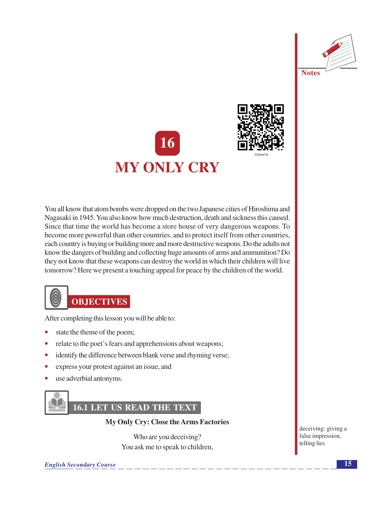



You all know that atom bombs were dropped on the two Japanese cities of Hiroshima and Nagasaki in 1945. You also know how much destruction, death and sickness this caused. Since that time the world has become a store house of very dangerous weapons. To become more powerful than other countries, and to protect itself from other countries, each country is buying or building more and more destructive weapons. Do the adults not know the dangers of building and collecting huge amounts of arms and ammunition? Do they not know that these weapons can destroy the world in which their children will live tomorrow? Here we present a touching appeal for peace by the children of the world.



# **OBJECTIVES**

After completing this lesson you will be able to:

- state the theme of the poem;
- relate to the poet's fears and apprehensions about weapons;
- $\bullet$ identify the difference between blank verse and rhyming verse;
- express your protest against an issue, and  $\bullet$
- use adverbial antonyms.



# **16.1 LET US READ THE TEXT**

My Only Cry: Close the Arms Factories

Who are you deceiving? You ask me to speak to children,

**English Secondary Course** 

deceiving: giving a false impression, telling lies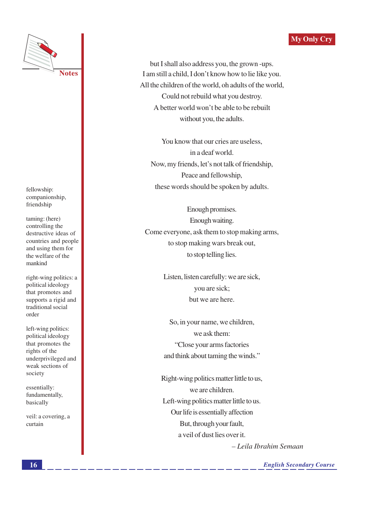#### **My Only Cry**



fellowship: companionship, friendship

taming: (here) controlling the destructive ideas of countries and people and using them for the welfare of the mankind

right-wing politics: a political ideology that promotes and supports a rigid and traditional social order

left-wing politics: political ideology that promotes the rights of the underprivileged and weak sections of society

essentially: fundamentally, basically

veil: a covering, a curtain

but I shall also address you, the grown -ups. I am still a child, I don't know how to lie like you. All the children of the world, oh adults of the world, Could not rebuild what you destroy. A better world won't be able to be rebuilt without you, the adults.

You know that our cries are useless. in a deaf world. Now, my friends, let's not talk of friendship, Peace and fellowship, these words should be spoken by adults.

Enough promises. Enough waiting. Come everyone, ask them to stop making arms, to stop making wars break out, to stop telling lies.

> Listen, listen carefully: we are sick, you are sick; but we are here.

> So, in your name, we children, we ask them: "Close your arms factories" and think about taming the winds."

Right-wing politics matter little to us, we are children. Left-wing politics matter little to us. Our life is essentially affection But, through your fault, a veil of dust lies over it.

- Leila Ibrahim Semaan

**English Secondary Course**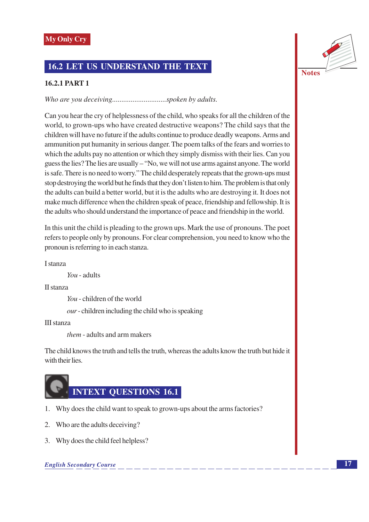### **16.2 LET US UNDERSTAND THE TEXT**

#### **16.2.1 PART 1**

Can you hear the cry of helplessness of the child, who speaks for all the children of the world, to grown-ups who have created destructive weapons? The child says that the children will have no future if the adults continue to produce deadly weapons. Arms and ammunition put humanity in serious danger. The poem talks of the fears and worries to which the adults pay no attention or which they simply dismiss with their lies. Can you guess the lies? The lies are usually – "No, we will not use arms against anyone. The world is safe. There is no need to worry." The child desperately repeats that the grown-ups must stop destroying the world but he finds that they don't listen to him. The problem is that only the adults can build a better world, but it is the adults who are destroying it. It does not make much difference when the children speak of peace, friendship and fellowship. It is the adults who should understand the importance of peace and friendship in the world.

In this unit the child is pleading to the grown ups. Mark the use of pronouns. The poet refers to people only by pronouns. For clear comprehension, you need to know who the pronoun is referring to in each stanza.

**L**stanza

 $You$  - adults

II stanza

You - children of the world

 $our$ -children including the child who is speaking

**III** stanza

*them* - adults and arm makers

The child knows the truth and tells the truth, whereas the adults know the truth but hide it with their lies.



- 1. Why does the child want to speak to grown-ups about the arms factories?
- 2. Who are the adults deceiving?
- 3. Why does the child feel helpless?

#### **English Secondary Course**

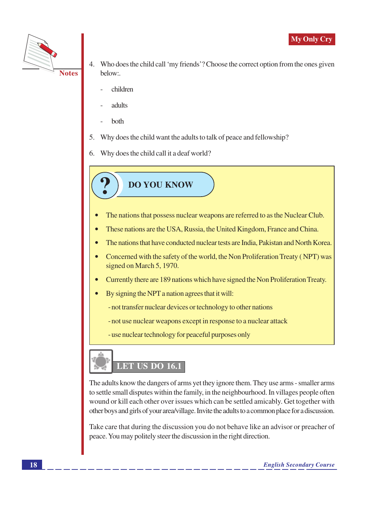

- Who does the child call 'my friends'? Choose the correct option from the ones given 4. helow:
	- children
	- adults
	- both
- 5. Why does the child want the adults to talk of peace and fellowship?
- 6. Why does the child call it a deaf world?

**DO YOU KNOW** 

- The nations that possess nuclear weapons are referred to as the Nuclear Club.  $\bullet$
- These nations are the USA, Russia, the United Kingdom, France and China.  $\bullet$
- The nations that have conducted nuclear tests are India, Pakistan and North Korea.  $\bullet$
- Concerned with the safety of the world, the Non Proliferation Treaty (NPT) was signed on March 5, 1970.
- Currently there are 189 nations which have signed the Non Proliferation Treaty.
- By signing the NPT a nation agrees that it will:
	- not transfer nuclear devices or technology to other nations
	- not use nuclear weapons except in response to a nuclear attack
	- use nuclear technology for peaceful purposes only



The adults know the dangers of arms yet they ignore them. They use arms - smaller arms to settle small disputes within the family, in the neighbourhood. In villages people often wound or kill each other over issues which can be settled amicably. Get together with other boys and girls of your area/village. Invite the adults to a common place for a discussion.

Take care that during the discussion you do not behave like an advisor or preacher of peace. You may politely steer the discussion in the right direction.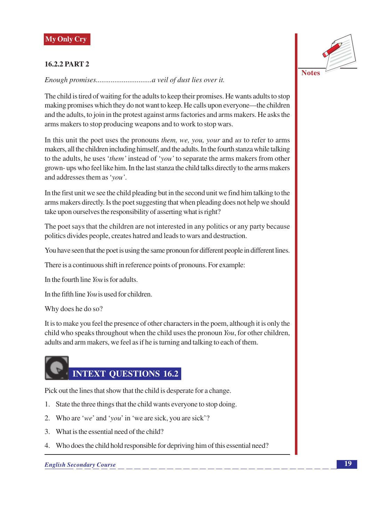#### **16.2.2 PART 2**



The child is tired of waiting for the adults to keep their promises. He wants adults to stop making promises which they do not want to keep. He calls upon everyone—the children and the adults, to join in the protest against arms factories and arms makers. He asks the arms makers to stop producing weapons and to work to stop wars.

In this unit the poet uses the pronouns *them, we, you, your* and us to refer to arms makers, all the children including himself, and the adults. In the fourth stanza while talking to the adults, he uses 'them' instead of 'you' to separate the arms makers from other grown- ups who feel like him. In the last stanza the child talks directly to the arms makers and addresses them as 'vou'.

In the first unit we see the child pleading but in the second unit we find him talking to the arms makers directly. Is the poet suggesting that when pleading does not help we should take upon ourselves the responsibility of asserting what is right?

The poet says that the children are not interested in any politics or any party because politics divides people, creates hatred and leads to wars and destruction.

You have seen that the poet is using the same pronoun for different people in different lines.

There is a continuous shift in reference points of pronouns. For example:

In the fourth line You is for adults.

In the fifth line  $You$  is used for children.

Why does he do so?

It is to make you feel the presence of other characters in the poem, although it is only the child who speaks throughout when the child uses the pronoun You, for other children, adults and arm makers, we feel as if he is turning and talking to each of them.

# **INTEXT QUESTIONS 16.2**

Pick out the lines that show that the child is desperate for a change.

- 1. State the three things that the child wants everyone to stop doing.
- 2. Who are 'we' and 'you' in 'we are sick, you are sick'?
- 3. What is the essential need of the child?
- 4. Who does the child hold responsible for depriving him of this essential need?

#### **English Secondary Course**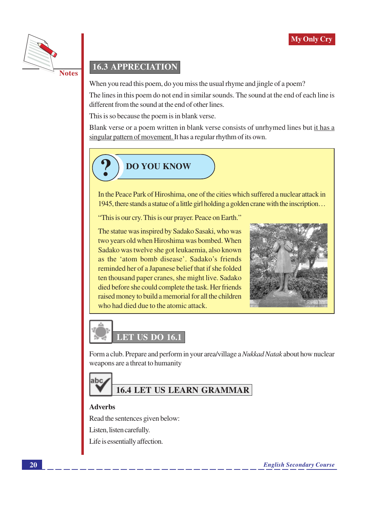

# **16.3 APPRECIATION**

When you read this poem, do you miss the usual rhyme and jingle of a poem?

The lines in this poem do not end in similar sounds. The sound at the end of each line is different from the sound at the end of other lines.

This is so because the poem is in blank verse.

Blank verse or a poem written in blank verse consists of unrhymed lines but it has a singular pattern of movement. It has a regular rhythm of its own.



In the Peace Park of Hiroshima, one of the cities which suffered a nuclear attack in 1945, there stands a statue of a little girl holding a golden crane with the inscription...

"This is our cry. This is our prayer. Peace on Earth."

The statue was inspired by Sadako Sasaki, who was two years old when Hiroshima was bombed. When Sadako was twelve she got leukaemia, also known as the 'atom bomb disease'. Sadako's friends reminded her of a Japanese belief that if she folded ten thousand paper cranes, she might live. Sadako died before she could complete the task. Her friends raised money to build a memorial for all the children who had died due to the atomic attack.





Form a club. Prepare and perform in your area/village a *Nukkad Natak* about how nuclear weapons are a threat to humanity



# **16.4 LET US LEARN GRAMMAR**

#### **Adverbs**

Read the sentences given below:

Listen, listen carefully.

Life is essentially affection.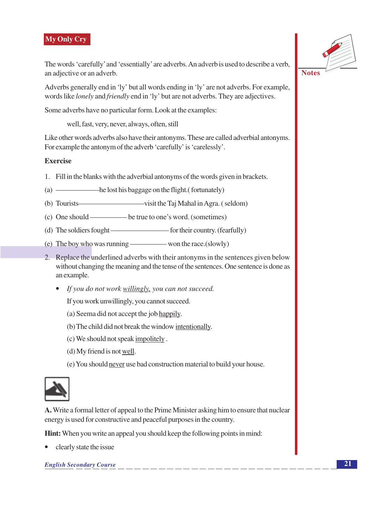#### **My Only Cry**

The words 'carefully' and 'essentially' are adverbs. An adverb is used to describe a verb, an adjective or an adverb.

Adverbs generally end in 'ly' but all words ending in 'ly' are not adverbs. For example, words like *lonely* and *friendly* end in 'ly' but are not adverbs. They are adjectives.

Some adverbs have no particular form. Look at the examples:

well, fast, very, never, always, often, still

Like other words adverbs also have their antonyms. These are called adverbial antonyms. For example the antonym of the adverb 'carefully' is 'carelessly'.

#### **Exercise**

- 1. Fill in the blanks with the adverbial antonyms of the words given in brackets.
- 
- visit the Taj Mahal in Agra. (seldom) (b) Tourists—
- 
- 
- 
- 2. Replace the underlined adverbs with their antonyms in the sentences given below without changing the meaning and the tense of the sentences. One sentence is done as an example.
	- If you do not work willingly, you can not succeed.

If you work unwillingly, you cannot succeed.

- (a) Seema did not accept the job happily.
- (b) The child did not break the window intentionally.
- (c) We should not speak impolitely.
- (d) My friend is not well.
- (e) You should never use bad construction material to build your house.



A. Write a formal letter of appeal to the Prime Minister asking him to ensure that nuclear energy is used for constructive and peaceful purposes in the country.

**Hint:** When you write an appeal you should keep the following points in mind:

clearly state the issue

**English Secondary Course** 



**Notes**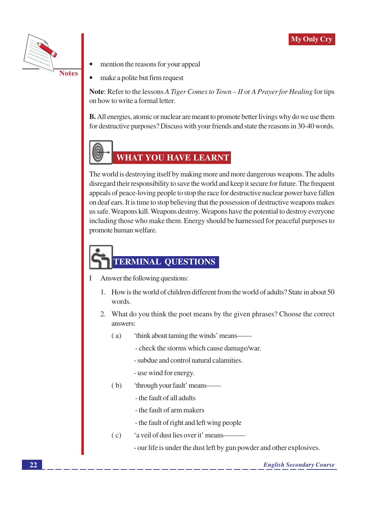

- mention the reasons for your appeal
- make a polite but firm request

Note: Refer to the lessons A Tiger Comes to Town – II or A Prayer for Healing for tips on how to write a formal letter.

**B.** All energies, atomic or nuclear are meant to promote better livings why do we use them for destructive purposes? Discuss with your friends and state the reasons in 30-40 words.



# **WHAT YOU HAVE LEARNT**

The world is destroying itself by making more and more dangerous weapons. The adults disregard their responsibility to save the world and keep it secure for future. The frequent appeals of peace-loving people to stop the race for destructive nuclear power have fallen on deaf ears. It is time to stop believing that the possession of destructive weapons makes us safe. Weapons kill. Weapons destroy. Weapons have the potential to destroy everyone including those who make them. Energy should be harnessed for peaceful purposes to promote human welfare.

# **TERMINAL QUESTIONS**

- Answer the following questions:  $\mathbf{I}$ 
	- 1. How is the world of children different from the world of adults? State in about 50 words.
	- 2. What do you think the poet means by the given phrases? Choose the correct answers:
		- 'think about taming the winds' means- $(a)$ 
			- check the storms which cause damage/war.
			- subdue and control natural calamities.
			- use wind for energy.
		- $(b)$ 'through your fault' means-
			- the fault of all adults
			- the fault of arm makers
			- the fault of right and left wing people
		- $(c)$ 'a veil of dust lies over it' means—
			- our life is under the dust left by gun powder and other explosives.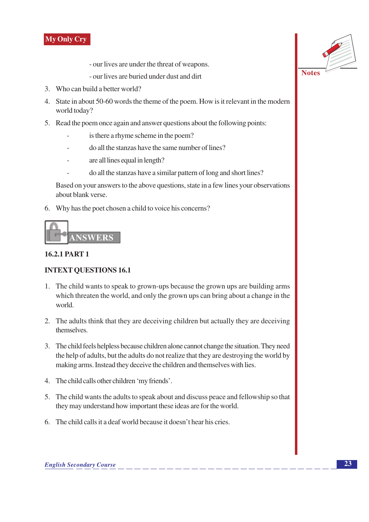

- our lives are under the threat of weapons.
- our lives are buried under dust and dirt
- 3. Who can build a better world?
- 4. State in about 50-60 words the theme of the poem. How is it relevant in the modern world today?
- 5. Read the poem once again and answer questions about the following points:
	- is there a rhyme scheme in the poem?
	- do all the stanzas have the same number of lines?
	- are all lines equal in length?
		- do all the stanzas have a similar pattern of long and short lines?

Based on your answers to the above questions, state in a few lines your observations about blank verse.

6. Why has the poet chosen a child to voice his concerns?



#### **16.2.1 PART 1**

#### **INTEXT QUESTIONS 16.1**

- 1. The child wants to speak to grown-ups because the grown ups are building arms which threaten the world, and only the grown ups can bring about a change in the world.
- 2. The adults think that they are deceiving children but actually they are deceiving themselves.
- 3. The child feels helpless because children alone cannot change the situation. They need the help of adults, but the adults do not realize that they are destroying the world by making arms. Instead they deceive the children and themselves with lies.
- 4. The child calls other children 'my friends'.
- 5. The child wants the adults to speak about and discuss peace and fellowship so that they may understand how important these ideas are for the world.
- 6. The child calls it a deaf world because it doesn't hear his cries.

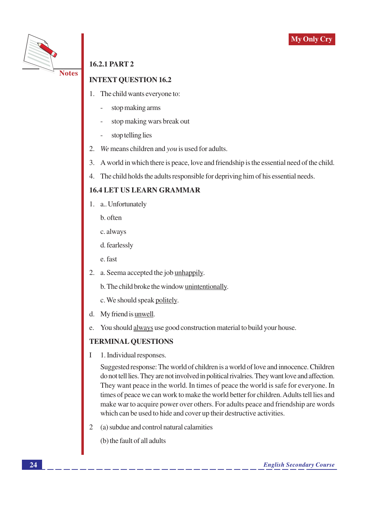



# **16.2.1 PART 2**

### **INTEXT OUESTION 16.2**

- The child wants everyone to:  $1.$ 
	- stop making arms
	- stop making wars break out
	- stop telling lies
- 2. We means children and you is used for adults.
- 3. A world in which there is peace, love and friendship is the essential need of the child.
- $\overline{4}$ . The child holds the adults responsible for depriving him of his essential needs.

#### **16.4 LET US LEARN GRAMMAR**

- 1. a., Unfortunately
	- b. often
	- c. always
	- d. fearlessly
	- e. fast
- 2. a. Seema accepted the job unhappily.
	- b. The child broke the window unintentionally.
	- c. We should speak politely.
- d. My friend is <u>unwell</u>.
- You should always use good construction material to build your house. e.

#### **TERMINAL QUESTIONS**

 $\mathbf I$ 1. Individual responses.

> Suggested response: The world of children is a world of love and innocence. Children do not tell lies. They are not involved in political rivalries. They want love and affection. They want peace in the world. In times of peace the world is safe for everyone. In times of peace we can work to make the world better for children. Adults tell lies and make war to acquire power over others. For adults peace and friendship are words which can be used to hide and cover up their destructive activities.

 $\overline{2}$ (a) subdue and control natural calamities

(b) the fault of all adults